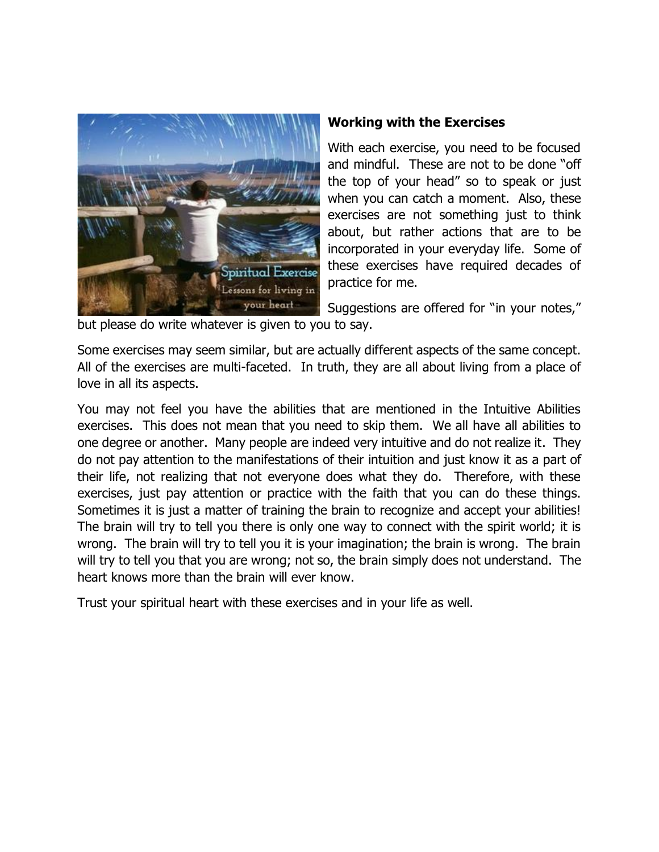

## **Working with the Exercises**

With each exercise, you need to be focused and mindful. These are not to be done "off the top of your head" so to speak or just when you can catch a moment. Also, these exercises are not something just to think about, but rather actions that are to be incorporated in your everyday life. Some of these exercises have required decades of practice for me.

Suggestions are offered for "in your notes,"

but please do write whatever is given to you to say.

Some exercises may seem similar, but are actually different aspects of the same concept. All of the exercises are multi-faceted. In truth, they are all about living from a place of love in all its aspects.

You may not feel you have the abilities that are mentioned in the Intuitive Abilities exercises. This does not mean that you need to skip them. We all have all abilities to one degree or another. Many people are indeed very intuitive and do not realize it. They do not pay attention to the manifestations of their intuition and just know it as a part of their life, not realizing that not everyone does what they do. Therefore, with these exercises, just pay attention or practice with the faith that you can do these things. Sometimes it is just a matter of training the brain to recognize and accept your abilities! The brain will try to tell you there is only one way to connect with the spirit world; it is wrong. The brain will try to tell you it is your imagination; the brain is wrong. The brain will try to tell you that you are wrong; not so, the brain simply does not understand. The heart knows more than the brain will ever know.

Trust your spiritual heart with these exercises and in your life as well.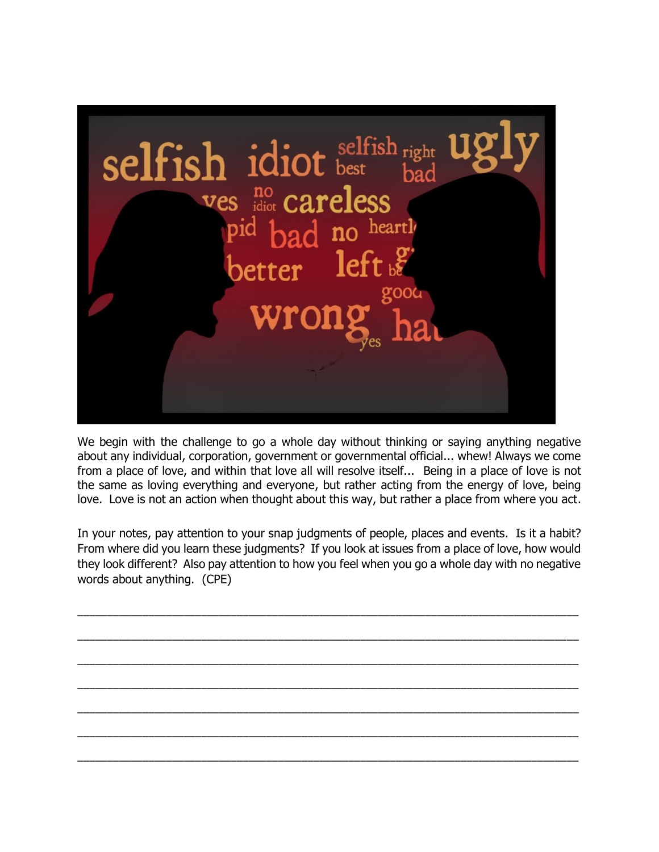

We begin with the challenge to go a whole day without thinking or saying anything negative about any individual, corporation, government or governmental official... whew! Always we come from a place of love, and within that love all will resolve itself... Being in a place of love is not the same as loving everything and everyone, but rather acting from the energy of love, being love. Love is not an action when thought about this way, but rather a place from where you act.

In your notes, pay attention to your snap judgments of people, places and events. Is it a habit? From where did you learn these judgments? If you look at issues from a place of love, how would they look different? Also pay attention to how you feel when you go a whole day with no negative words about anything. (CPE)

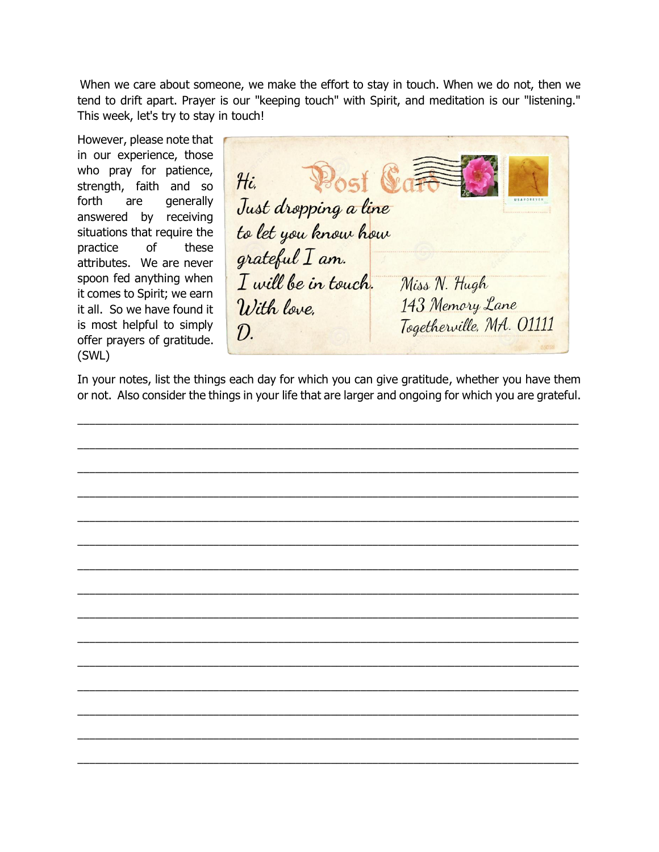When we care about someone, we make the effort to stay in touch. When we do not, then we tend to drift apart. Prayer is our "keeping touch" with Spirit, and meditation is our "listening." This week, let's try to stay in touch!

However, please note that in our experience, those who pray for patience, strength, faith and so forth are generally answered by receiving situations that require the practice of these attributes. We are never spoon fed anything when it comes to Spirit; we earn it all. So we have found it is most helpful to simply offer prayers of gratitude. (SWL)

 $Hi.$ Just dropping a line to let you know how grateful I am. I will be in touch. Miss N. Hugh 143 Memory Lane With love. Togetherville, MA. 01111  $\mathcal{D}_{\cdot}$ 

In your notes, list the things each day for which you can give gratitude, whether you have them or not. Also consider the things in your life that are larger and ongoing for which you are grateful.

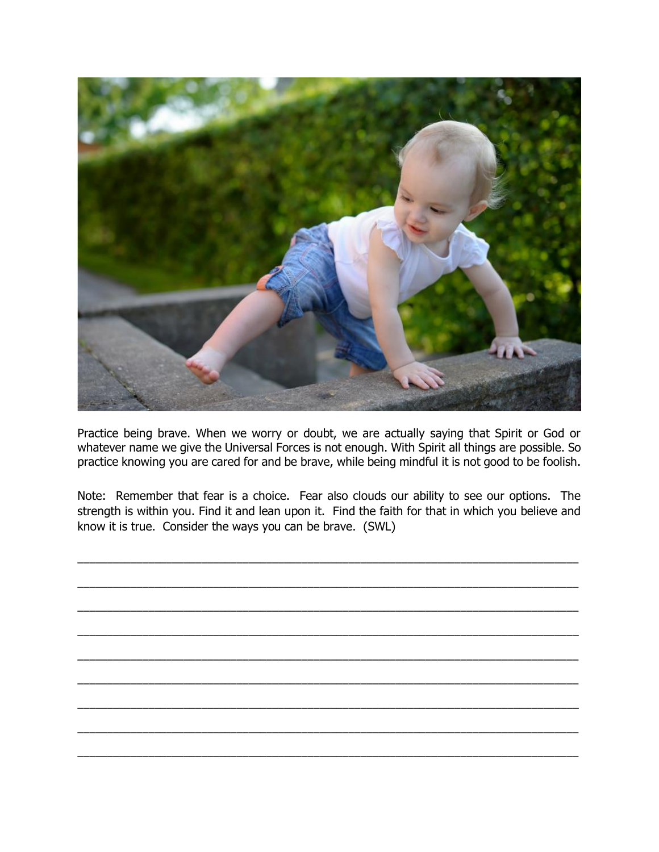

Practice being brave. When we worry or doubt, we are actually saying that Spirit or God or whatever name we give the Universal Forces is not enough. With Spirit all things are possible. So practice knowing you are cared for and be brave, while being mindful it is not good to be foolish.

Note: Remember that fear is a choice. Fear also clouds our ability to see our options. The strength is within you. Find it and lean upon it. Find the faith for that in which you believe and know it is true. Consider the ways you can be brave. (SWL)

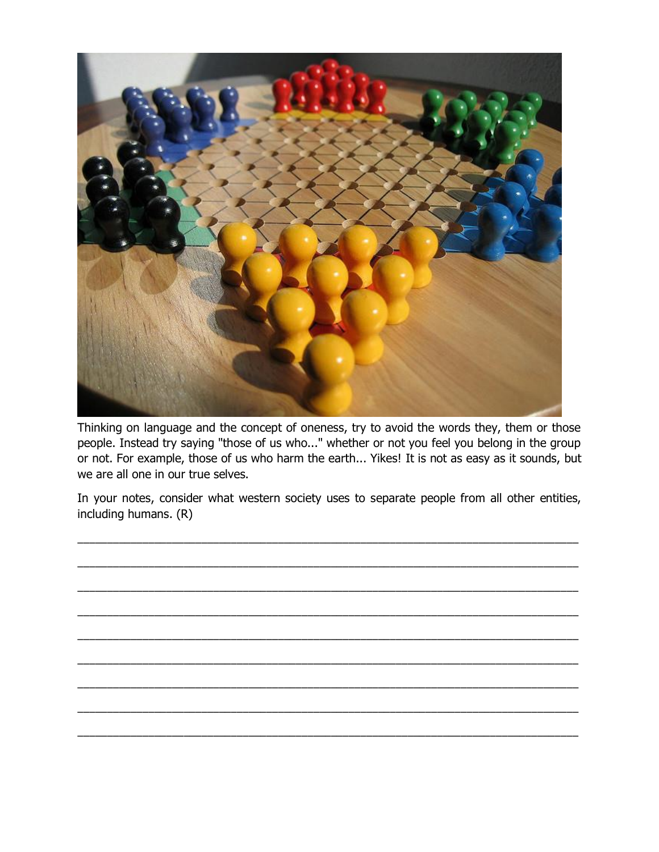

Thinking on language and the concept of oneness, try to avoid the words they, them or those people. Instead try saying "those of us who..." whether or not you feel you belong in the group or not. For example, those of us who harm the earth... Yikes! It is not as easy as it sounds, but we are all one in our true selves.

In your notes, consider what western society uses to separate people from all other entities, including humans. (R)